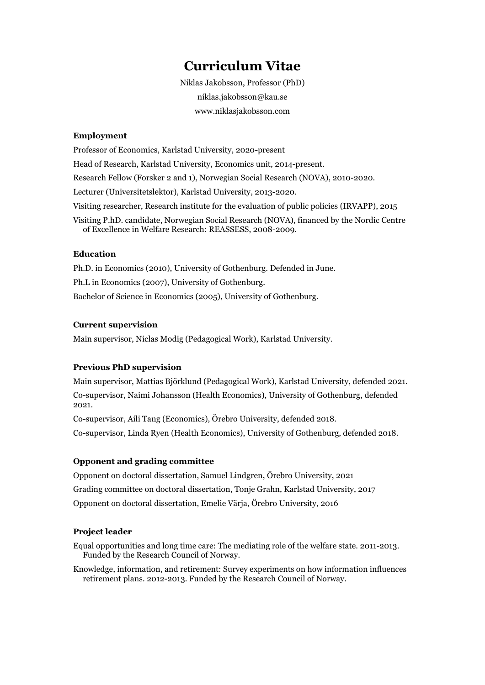# **Curriculum Vitae**

Niklas Jakobsson, Professor (PhD) niklas.jakobsson@kau.se www.niklasjakobsson.com

# **Employment**

Professor of Economics, Karlstad University, 2020-present Head of Research, Karlstad University, Economics unit, 2014-present. Research Fellow (Forsker 2 and 1), Norwegian Social Research (NOVA), 2010-2020. Lecturer (Universitetslektor), Karlstad University, 2013-2020. Visiting researcher, Research institute for the evaluation of public policies (IRVAPP), 2015 Visiting P.hD. candidate, Norwegian Social Research (NOVA), financed by the Nordic Centre of Excellence in Welfare Research: REASSESS, 2008-2009.

# **Education**

Ph.D. in Economics (2010), University of Gothenburg. Defended in June. Ph.L in Economics (2007), University of Gothenburg. Bachelor of Science in Economics (2005), University of Gothenburg.

# **Current supervision**

Main supervisor, Niclas Modig (Pedagogical Work), Karlstad University.

#### **Previous PhD supervision**

Main supervisor, Mattias Björklund (Pedagogical Work), Karlstad University, defended 2021. Co-supervisor, Naimi Johansson (Health Economics), University of Gothenburg, defended 2021.

Co-supervisor, Aili Tang (Economics), Örebro University, defended 2018.

Co-supervisor, Linda Ryen (Health Economics), University of Gothenburg, defended 2018.

## **Opponent and grading committee**

Opponent on doctoral dissertation, Samuel Lindgren, Örebro University, 2021 Grading committee on doctoral dissertation, Tonje Grahn, Karlstad University, 2017 Opponent on doctoral dissertation, Emelie Värja, Örebro University, 2016

# **Project leader**

Equal opportunities and long time care: The mediating role of the welfare state. 2011-2013. Funded by the Research Council of Norway.

Knowledge, information, and retirement: Survey experiments on how information influences retirement plans. 2012-2013. Funded by the Research Council of Norway.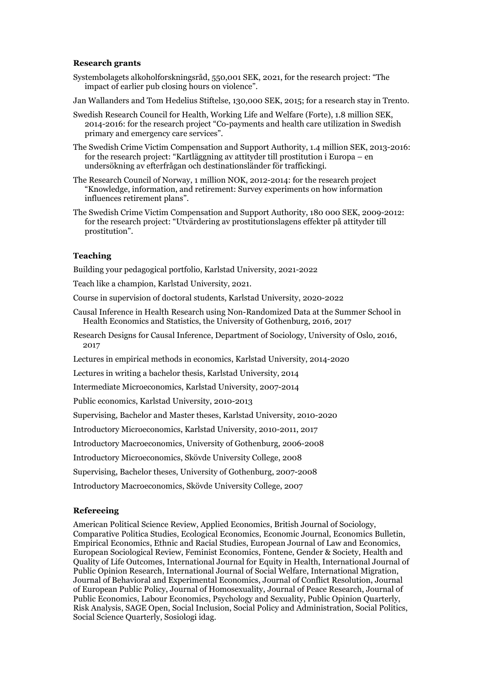#### **Research grants**

- Systembolagets alkoholforskningsråd, 550,001 SEK, 2021, for the research project: "The impact of earlier pub closing hours on violence".
- Jan Wallanders and Tom Hedelius Stiftelse, 130,000 SEK, 2015; for a research stay in Trento.
- Swedish Research Council for Health, Working Life and Welfare (Forte), 1.8 million SEK, 2014-2016: for the research project "Co-payments and health care utilization in Swedish primary and emergency care services".
- The Swedish Crime Victim Compensation and Support Authority, 1.4 million SEK, 2013-2016: for the research project: "Kartläggning av attityder till prostitution i Europa – en undersökning av efterfrågan och destinationsländer för traffickingi.
- The Research Council of Norway, 1 million NOK, 2012-2014: for the research project "Knowledge, information, and retirement: Survey experiments on how information influences retirement plans".
- The Swedish Crime Victim Compensation and Support Authority, 180 000 SEK, 2009-2012: for the research project: "Utvärdering av prostitutionslagens effekter på attityder till prostitution".

# **Teaching**

Building your pedagogical portfolio, Karlstad University, 2021-2022

Teach like a champion, Karlstad University, 2021.

Course in supervision of doctoral students, Karlstad University, 2020-2022

- Causal Inference in Health Research using Non-Randomized Data at the [Summer](http://healthmetrics.gu.se/education/summer-school-in-health-economics-and-statistics) School in Health [Economics and Statistics,](http://healthmetrics.gu.se/education/summer-school-in-health-economics-and-statistics) the University of Gothenburg, 2016, 2017
- Research [Designs for Causal Inference,](http://www.uio.no/studier/emner/sv/iss/SOS9019/) Department of Sociology, University of Oslo, 2016, 2017

Lectures in empirical methods in economics, Karlstad University, 2014-2020

Lectures in writing a bachelor thesis, Karlstad University, 2014

Intermediate Microeconomics, Karlstad University, 2007-2014

Public economics, Karlstad University, 2010-2013

Supervising, Bachelor and Master theses, Karlstad University, 2010-2020

Introductory Microeconomics, Karlstad University, 2010-2011, 2017

Introductory Macroeconomics, University of Gothenburg, 2006-2008

Introductory Microeconomics, Skövde University College, 2008

Supervising, Bachelor theses, University of Gothenburg, 2007-2008

Introductory Macroeconomics, Skövde University College, 2007

# **Refereeing**

American Political Science Review, Applied Economics, British Journal of Sociology, Comparative Politica Studies, Ecological Economics, Economic Journal, Economics Bulletin, Empirical Economics, Ethnic and Racial Studies, European Journal of Law and Economics, European Sociological Review, Feminist Economics, Fontene, Gender & Society, Health and Quality of Life Outcomes, International Journal for Equity in Health, International Journal of Public Opinion Research, International Journal of Social Welfare, International Migration, Journal of Behavioral and Experimental Economics, Journal of Conflict Resolution, Journal of European Public Policy, Journal of Homosexuality, Journal of Peace Research, Journal of Public Economics, Labour Economics, Psychology and Sexuality, Public Opinion Quarterly, Risk Analysis, SAGE Open, Social Inclusion, Social Policy and Administration, Social Politics, Social Science Quarterly, Sosiologi idag.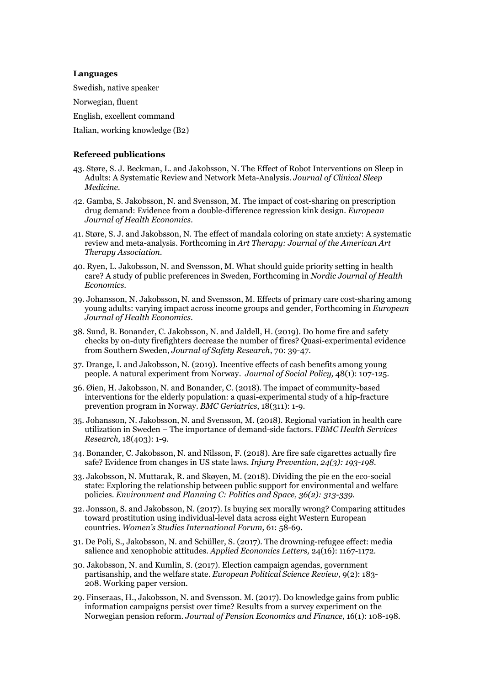#### **Languages**

Swedish, native speaker Norwegian, fluent English, excellent command Italian, working knowledge (B2)

### **Refereed publications**

- 43. Støre, S. J. Beckman, L. and Jakobsson, N. The Effect of Robot Interventions on Sleep in Adults: A Systematic Review and Network Meta-Analysis. *Journal of Clinical Sleep Medicine.*
- 42. Gamba, S. Jakobsson, N. and Svensson, M. The impact of cost-sharing on prescription drug demand: Evidence from a double-difference regression kink design. *European Journal of Health Economics.*
- 41. Støre, S. J. and Jakobsson, N. The effect of mandala coloring on state anxiety: A systematic review and meta-analysis. Forthcoming in *Art Therapy: Journal of the American Art Therapy Association*.
- 40. Ryen, L. Jakobsson, N. and Svensson, M. What should guide [priority](https://journals.uio.no/NJHE/article/view/6159) setting in health [care? A study](https://journals.uio.no/NJHE/article/view/6159) of public preferences in Sweden, Forthcoming in *Nordic Journal of Health Economics*.
- 39. Johansson, N. Jakobsson, N. and Svensson, M. Effects [of primary care cost-sharing](https://link.springer.com/article/10.1007/s10198-019-01095-6) among young adults: [varying](https://link.springer.com/article/10.1007/s10198-019-01095-6) impact across income groups and gender, Forthcoming in *European Journal of Health Economics*.
- 38. Sund, B. Bonander, C. Jakobsson, N. and Jaldell, H. (2019). Do home [fire and safety](https://www.sciencedirect.com/science/article/pii/S0022437518307394) checks by on-duty firefighters decrease the number [of fires? Quasi-experimental](https://www.sciencedirect.com/science/article/pii/S0022437518307394) evidence [from Southern](https://www.sciencedirect.com/science/article/pii/S0022437518307394) Sweden, *Journal of Safety Research*, 70: 39-47.
- 37. Drange, I. and Jakobsson, N. (2019). Incentive effects of [cash benefits among](https://www.cambridge.org/core/journals/journal-of-social-policy/article/incentive-effects-of-cash-benefits-among-young-people-a-natural-experiment-from-norway/9B5A9504D3C9C18CA51919D4165FCED8) young [people. A natural experiment from Norway.](https://www.cambridge.org/core/journals/journal-of-social-policy/article/incentive-effects-of-cash-benefits-among-young-people-a-natural-experiment-from-norway/9B5A9504D3C9C18CA51919D4165FCED8) *Journal of Social Policy,* 48(1): 107-125.
- 36. Øien, H. Jakobsson, N. and Bonander, C. (2018). The impact of [community-based](https://bmcgeriatr.biomedcentral.com/track/pdf/10.1186/s12877-018-1004-z) interventions for the elderly [population: a quasi-experimental](https://bmcgeriatr.biomedcentral.com/track/pdf/10.1186/s12877-018-1004-z) study of a hip-fracture [prevention program in](https://bmcgeriatr.biomedcentral.com/track/pdf/10.1186/s12877-018-1004-z) Norway. *BMC Geriatrics*, 18(311): 1-9.
- 35. Johansson, N. Jakobsson, N. and Svensson, M. (2018). Regional variation in [health care](https://bmchealthservres.biomedcentral.com/track/pdf/10.1186/s12913-018-3210-y)  utilization in [Sweden – The importance of](https://bmchealthservres.biomedcentral.com/track/pdf/10.1186/s12913-018-3210-y) demand-side factors. F*BMC Health Services Research,* 18(403): 1-9.
- 34. Bonander, C. Jakobsson, N. and Nilsson, F. (2018). Are fire safe cigarettes [actually fire](https://injuryprevention.bmj.com/content/24/3/193.abstract)  safe? [Evidence from changes](https://injuryprevention.bmj.com/content/24/3/193.abstract) in US state laws. *Injury Prevention, 24(3): 193-198.*
- 33. Jakobsson, N. Muttarak, R. and Skøyen, M. (2018). Dividing the pie en the [eco-social](https://journals.sagepub.com/doi/full/10.1177/2399654417711448) state: Exploring the relationship between public [support for environmental and welfare](https://journals.sagepub.com/doi/full/10.1177/2399654417711448)  [policies.](https://journals.sagepub.com/doi/full/10.1177/2399654417711448) *Environment and Planning C: Politics and Space, 36(2): 313-339.*
- 32. Jonsson, S. and Jakobsson, N. (2017). Is buying sex [morally wrong? Comparing attitudes](http://www.sciencedirect.com/science/article/pii/S0277539516300930) toward prostitution using [individual-level](http://www.sciencedirect.com/science/article/pii/S0277539516300930) data across eight Western European [countries.](http://www.sciencedirect.com/science/article/pii/S0277539516300930) *Women's Studies International Forum,* 61: 58-69.
- 31. De Poli, S., Jakobsson, N. and Schüller, S. (2017). The [drowning-refugee](http://www.tandfonline.com/doi/abs/10.1080/13504851.2016.1262513?journalCode=rael20) effect: media [salience and xenophobic](http://www.tandfonline.com/doi/abs/10.1080/13504851.2016.1262513?journalCode=rael20) attitudes. *Applied Economics Letters,* 24(16): 1167-1172.
- 30. Jakobsson, N. and Kumlin, S. (2017). Election campaign agendas, [government](http://journals.cambridge.org/action/displayAbstract?fromPage=online&aid=9991600&fulltextType=RA&fileId=S175577391500034X) [partisanship, and the welfare state.](http://journals.cambridge.org/action/displayAbstract?fromPage=online&aid=9991600&fulltextType=RA&fileId=S175577391500034X) *European Political Science Review,* 9(2): 183- 208. [Working paper version.](http://cwed2.org/Data/CWED2_WP_04_2016.pdf)
- 29. Finseraas, H., Jakobsson, N. and Svensson. M. (2017). Do knowledge [gains from public](http://journals.cambridge.org/action/displayAbstract?fromPage=online&aid=9698822&fulltextType=RA&fileId=S1474747215000098) [information campaigns](http://journals.cambridge.org/action/displayAbstract?fromPage=online&aid=9698822&fulltextType=RA&fileId=S1474747215000098) persist over time? Results from a survey experiment on the [Norwegian](http://journals.cambridge.org/action/displayAbstract?fromPage=online&aid=9698822&fulltextType=RA&fileId=S1474747215000098) pension reform. *Journal of Pension Economics and Finance,* 16(1): 108-198.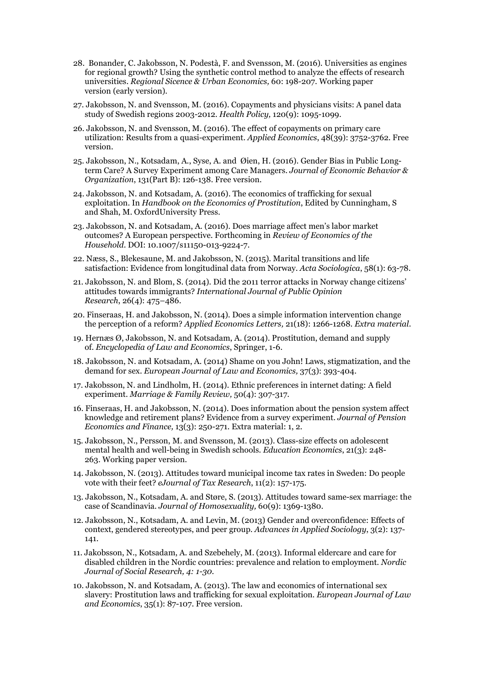- 28. Bonander, C. Jakobsson, N. Podestà, F. and Svensson, M. (2016). [Universities](http://www.sciencedirect.com/science/article/pii/S0166046216301041) as engines [for regional growth? Using the](http://www.sciencedirect.com/science/article/pii/S0166046216301041) synthetic control method to analyze the effects of research [universities.](http://www.sciencedirect.com/science/article/pii/S0166046216301041) *Regional Sicence & Urban Economics,* 60: 198-207. [Working paper](http://irvapp.fbk.eu/sites/irvapp.fbk.eu/files/wp_irvapp_bonander_et_al_2016_0.pdf) [version](http://irvapp.fbk.eu/sites/irvapp.fbk.eu/files/wp_irvapp_bonander_et_al_2016_0.pdf) (early version).
- 27. Jakobsson, N. and Svensson, M. (2016). Copayments [and physicians](http://www.sciencedirect.com/science/article/pii/S0168851016301828) visits: A panel data study of Swedish regions [2003-2012.](http://www.sciencedirect.com/science/article/pii/S0168851016301828) *Health Policy,* 120(9): 1095-1099.
- 26. Jakobsson, N. and Svensson, M. (2016). The effect of copayments on [primary care](http://www.tandfonline.com/doi/full/10.1080/00036846.2016.1145346)  utilization: [Results from a quasi-experiment.](http://www.tandfonline.com/doi/full/10.1080/00036846.2016.1145346) *Applied Economics*, 48(39): 3752-3762. [Free](https://niklasjakobsson.files.wordpress.com/2010/06/the-effect-of-copayments-on-primary-care-utilization.pdf) [version.](https://niklasjakobsson.files.wordpress.com/2010/06/the-effect-of-copayments-on-primary-care-utilization.pdf)
- 25. Jakobsson, N., Kotsadam, A., Syse, A. and Øien, H. (2016). [Gender](http://www.sciencedirect.com/science/article/pii/S0167268115002383) Bias in Public Longterm [Care? A Survey](http://www.sciencedirect.com/science/article/pii/S0167268115002383) Experiment among Care Managers. *Journal of Economic Behavior & Organization*, 131(Part B): 126-138. Free [version.](https://andreaskotsadam.files.wordpress.com/2012/02/gender-bias-in-public-long-term-care.pdf)
- 24. Jakobsson, N. and Kotsadam, A. (2016). The economics [of trafficking for sexual](http://www.sv.uio.no/econ/english/research/unpublished-works/working-papers/pdf-files/2015/memo-07-2015.pdf) [exploitation.](http://www.sv.uio.no/econ/english/research/unpublished-works/working-papers/pdf-files/2015/memo-07-2015.pdf) In *Handbook on the Economics of Prostitution*, Edited by Cunningham, S and Shah, M. OxfordUniversity Press.
- 23. Jakobsson, N. and Kotsadam, A. (2016). Does [marriage](http://link.springer.com/article/10.1007/s11150-013-9224-7) affect men's labor market [outcomes? A European](http://link.springer.com/article/10.1007/s11150-013-9224-7) perspective. Forthcoming in *Review of Economics of the Household*. DOI: 10.1007/s11150-013-9224-7.
- 22. Næss, S., Blekesaune, M. and Jakobsson, N. (2015). Marital [transitions and life](http://asj.sagepub.com/content/58/1/63) satisfaction: [Evidence from longitudinal](http://asj.sagepub.com/content/58/1/63) data from Norway. *Acta Sociologica*, 58(1): 63-78.
- 21. Jakobsson, N. and Blom, S. (2014). Did the 2011 terror attacks in Norway change [citizens'](http://ijpor.oxfordjournals.org/content/early/2014/01/09/ijpor.edt036.short) attitudes towards [immigrants?](http://ijpor.oxfordjournals.org/content/early/2014/01/09/ijpor.edt036.short) *International Journal of Public Opinion Research*, 26(4): 475–486.
- 20. Finseraas, H. and Jakobsson, N. (2014). Does [a simple information intervention change](http://www.tandfonline.com/doi/abs/10.1080/13504851.2014.922660#.VEjh0U2KBaQ) the perception [of a reform?](http://www.tandfonline.com/doi/abs/10.1080/13504851.2014.922660#.VEjh0U2KBaQ) *Applied Economics Letters,* 21(18): 1266-1268. *Extra [material](https://niklasjakobsson.files.wordpress.com/2010/06/brosjyre.pdf)*.
- 19. Hernæs Ø, Jakobsson, N. and Kotsadam, A. (2014). Prostitution, [demand and supply](http://link.springer.com/referenceworkentry/10.1007/978-1-4614-7883-6_39-1) [of.](http://link.springer.com/referenceworkentry/10.1007/978-1-4614-7883-6_39-1) *Encyclopedia of Law and Economics*, Springer, 1-6.
- 18. Jakobsson, N. and Kotsadam, A. (2014) Shame on you John! Laws, [stigmatization, and the](http://link.springer.com/article/10.1007/s10657-012-9339-y) [demand for sex.](http://link.springer.com/article/10.1007/s10657-012-9339-y) *European Journal of Law and Economics,* 37(3): 393-404.
- 17. Jakobsson, N. and Lindholm, H. (2014). Ethnic preferences [in internet dating: A field](http://www.tandfonline.com/doi/abs/10.1080/01494929.2013.879554#.VEjjp02KBaQ) [experiment.](http://www.tandfonline.com/doi/abs/10.1080/01494929.2013.879554#.VEjjp02KBaQ) *Marriage & Family Review,* 50(4): 307-317.
- 16. Finseraas, H. and Jakobsson, N. (2014). Does information about the pension [system affect](http://journals.cambridge.org/action/displayAbstract?fromPage=online&aid=9282344&fileId=S1474747213000310)  [knowledge and retirement](http://journals.cambridge.org/action/displayAbstract?fromPage=online&aid=9282344&fileId=S1474747213000310) plans? Evidence from a survey experiment. *Journal of Pension Economics and Finance,* 13(3): 250-271. Extra material: [1,](https://niklasjakobsson.files.wordpress.com/2010/06/brochure_part1.pdf) [2.](https://niklasjakobsson.files.wordpress.com/2010/06/brochure_part2.pdf)
- 15. Jakobsson, N., Persson, M. and Svensson, M. (2013). [Class-size effects on](http://www.tandfonline.com/doi/abs/10.1080/09645292.2013.789826#.VEjkoU2KBaQ) adolescent mental [health and well-being](http://www.tandfonline.com/doi/abs/10.1080/09645292.2013.789826#.VEjkoU2KBaQ) in Swedish schools. *Education Economics*, 21(3): 248- 263. [Working paper](http://www.kau.se/sites/default/files/Dokument/subpage/2012/02/2013_9_pdf_18347.pdf) version.
- 14. Jakobsson, N. (2013). Attitudes toward [municipal](https://www.business.unsw.edu.au/research-site/publications-site/ejournaloftaxresearch-site/Documents/eJTR-Municipal-income-tax-rates-in-Sweden-Vol-11-No-2-pg157.pdf) income tax rates in Sweden: Do people vote with their [feet?](https://www.business.unsw.edu.au/research-site/publications-site/ejournaloftaxresearch-site/Documents/eJTR-Municipal-income-tax-rates-in-Sweden-Vol-11-No-2-pg157.pdf) *eJournal of Tax Research*, 11(2): 157-175.
- 13. Jakobsson, N., Kotsadam, A. and Støre, S. (2013). Attitudes toward same-sex [marriage:](http://www.tandfonline.com/doi/abs/10.1080/00918369.2013.806191#.VEjk4U2KBaQ) the case of [Scandinavia.](http://www.tandfonline.com/doi/abs/10.1080/00918369.2013.806191#.VEjk4U2KBaQ) *Journal of Homosexuality,* 60(9): 1369-1380.
- 12. Jakobsson, N., Kotsadam, A. and Levin, M. (2013) Gender [and overconfidence: Effects of](http://file.scirp.org/Html/32518.html) context, gendered [stereotypes, and peer](http://file.scirp.org/Html/32518.html) group. *Advances in Applied Sociology*, 3(2): 137- 141.
- 11. Jakobsson, N., Kotsadam, A. and Szebehely, M. (2013). [Informal eldercare](https://bells.uib.no/index.php/njsr/article/view/225) and care for disabled children in the [Nordic countries: prevalence and relation](https://bells.uib.no/index.php/njsr/article/view/225) to employment. *Nordic Journal of Social Research, 4: 1-30.*
- 10. Jakobsson, N. and Kotsadam, A. (2013). The law and economics [of international sex](http://link.springer.com/article/10.1007/s10657-011-9232-0) slavery: Prostitution [laws and trafficking for sexual](http://link.springer.com/article/10.1007/s10657-011-9232-0) exploitation. *European Journal of Law and Economics*, 35(1): 87-107. Free [version.](https://gupea.ub.gu.se/bitstream/2077/22825/4/gupea_2077_22825_4.pdf)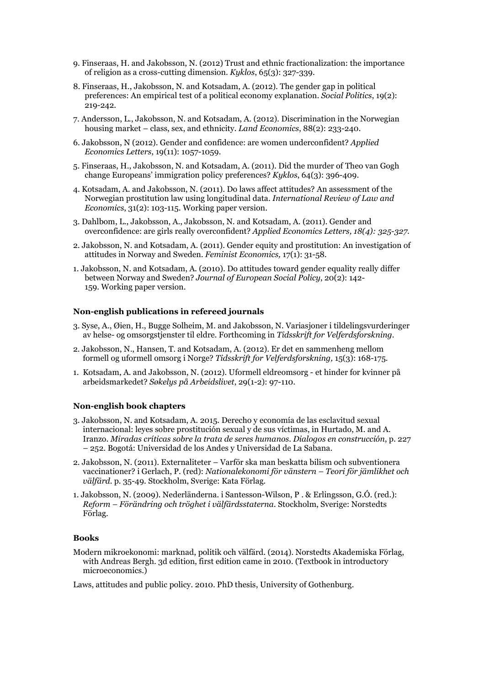- 9. Finseraas, H. and Jakobsson, N. (2012) [Trust and ethnic fractionalization: the](http://onlinelibrary.wiley.com/doi/10.1111/j.1467-6435.2012.00541.x/full) importance of religion [as a cross-cutting](http://onlinelibrary.wiley.com/doi/10.1111/j.1467-6435.2012.00541.x/full) dimension. *Kyklos*, 65(3): 327-339.
- 8. Finseraas, H., Jakobsson, N. and Kotsadam, A. (2012). The gender gap in [political](http://sp.oxfordjournals.org/content/19/2/219.short) [preferences: An](http://sp.oxfordjournals.org/content/19/2/219.short) empirical test of a political economy explanation. *Social Politics*, 19(2): 219-242.
- 7. Andersson, L., Jakobsson, N. and Kotsadam, A. (2012). [Discrimination](http://le.uwpress.org/content/88/2/233.short) in the Norwegian housing market – class, [sex, and ethnicity.](http://le.uwpress.org/content/88/2/233.short) *Land Economics*, 88(2): 233-240.
- 6. Jakobsson, N (2012). [Gender and confidence: are women underconfident?](http://www.tandfonline.com/doi/abs/10.1080/13504851.2011.613745#.VEjmhk2KBaQ) *Applied Economics Letters*, 19(11): 1057-1059.
- 5. Finseraas, H., Jakobsson, N. and Kotsadam, A. (2011). Did the [murder](http://onlinelibrary.wiley.com/doi/10.1111/j.1467-6435.2011.00512.x/full) of Theo van Gogh [change Europeans' immigration](http://onlinelibrary.wiley.com/doi/10.1111/j.1467-6435.2011.00512.x/full) policy preferences? *Kyklos*, 64(3): 396-409.
- 4. Kotsadam, A. and Jakobsson, N. (2011). Do [laws affect attitudes?](http://www.sciencedirect.com/science/article/pii/S0144818811000196) An assessment of the Norwegian prostitution law using [longitudinal](http://www.sciencedirect.com/science/article/pii/S0144818811000196) data. *International Review of Law and Economics*, 31(2): 103-115. [Working paper](https://gupea.ub.gu.se/bitstream/2077/22823/1/gupea_2077_22823_1.pdf) version.
- 3. Dahlbom, L., Jakobsson, A., Jakobsson, N. and Kotsadam, A. (2011). [Gender](http://www.tandfonline.com/doi/abs/10.1080/13504851003670668#.VEjm102KBaQ) and [overconfidence: are girls](http://www.tandfonline.com/doi/abs/10.1080/13504851003670668#.VEjm102KBaQ) really overconfident? *Applied Economics Letters, 18(4): 325-327*.
- 2. Jakobsson, N. and Kotsadam, A. (2011). Gender [equity and prostitution:](http://www.tandfonline.com/doi/abs/10.1080/13545701.2010.541863#.VEjm-U2KBaQ) An investigation of attitudes in [Norway and Sweden.](http://www.tandfonline.com/doi/abs/10.1080/13545701.2010.541863#.VEjm-U2KBaQ) *Feminist Economics,* 17(1): 31-58.
- 1. Jakobsson, N. and Kotsadam, A. (2010). Do attitudes toward gender equality [really differ](http://esp.sagepub.com/content/20/2/142.short)  between [Norway and Sweden?](http://esp.sagepub.com/content/20/2/142.short) *Journal of European Social Policy*, 20(2): 142- 159. [Working](https://gupea.ub.gu.se/bitstream/2077/19797/4/gupea_2077_19797_4.pdf) paper version.

#### **Non-english publications in refereed journals**

- 3. Syse, A., Øien, H., Bugge Solheim, M. and Jakobsson, N. Variasjoner i tildelingsvurderinger av helse- og omsorgstjenster til eldre. Forthcoming in *Tidsskrift for Velferdsforskning.*
- 2. Jakobsson, N., Hansen, T. and Kotsadam, A. (2012). Er det en sammenheng mellom formell og uformell omsorg i Norge? *Tidsskrift for Velferdsforskning,* 15(3): 168-175*.*
- 1. Kotsadam, A. and Jakobsson, N. (2012). Uformell eldreomsorg et hinder for kvinner på arbeidsmarkedet? *Søkelys på Arbeidslivet*, 29(1-2): 97-110.

#### **Non-english book chapters**

- 3. Jakobsson, N. and Kotsadam, A. 2015. Derecho y economía de las esclavitud sexual internacional: leyes sobre prostitución sexual y de sus víctimas, in Hurtado, M. and A. Iranzo. *Miradas críticas sobre la trata de seres humanos. Dialogos en construcción*, p. 227 – 252. Bogotá: Universidad de los Andes y Universidad de La Sabana.
- 2. Jakobsson, N. (2011). Externaliteter Varför ska man beskatta bilism och subventionera vaccinationer? i Gerlach, P. (red): *Nationalekonomi för vänstern – Teori för jämlikhet och välfärd.* p. 35-49. Stockholm, Sverige: Kata Förlag.
- 1. Jakobsson, N. (2009). Nederländerna. i Santesson-Wilson, P . & Erlingsson, G.Ó. (red.): *Reform – Förändring och tröghet i välfärdsstaterna*. Stockholm, Sverige: Norstedts Förlag.

# **Books**

Modern mikroekonomi: marknad, politik och välfärd. (2014). Norstedts Akademiska Förlag, with Andreas Bergh. 3d edition, first edition came in 2010. (Textbook in introductory microeconomics.)

Laws, attitudes and public policy. 2010. PhD thesis, University of Gothenburg.